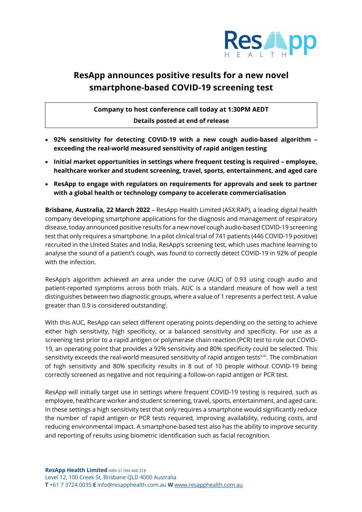

# **ResApp announces positive results for a new novel smartphone-based COVID-19 screening test**

**Company to host conference call today at 1:30PM AEDT Details posted at end of release**

- **92% sensitivity for detecting COVID-19 with a new cough audio-based algorithm – exceeding the real-world measured sensitivity of rapid antigen testing**
- **Initial market opportunities in settings where frequent testing is required – employee, healthcare worker and student screening, travel, sports, entertainment, and aged care**
- **ResApp to engage with regulators on requirements for approvals and seek to partner with a global health or technology company to accelerate commercialisation**

**Brisbane, Australia, 22 March 2022** – ResApp Health Limited (ASX:RAP), a leading digital health company developing smartphone applications for the diagnosis and management of respiratory disease, today announced positive results for a new novel cough audio-based COVID-19 screening test that only requires a smartphone. In a pilot clinical trial of 741 patients (446 COVID-19 positive) recruited in the United States and India, ResApp's screening test, which uses machine learning to analyse the sound of a patient's cough, was found to correctly detect COVID-19 in 92% of people with the infection.

ResApp's algorithm achieved an area under the curve (AUC) of 0.93 using cough audio and patient-reported symptoms across both trials. AUC is a standard measure of how well a test distinguishes between two diagnostic groups, where a value of 1 represents a perfect test. A value greater than 0.9 is considered outstanding $^{\text{i}}$ .

With this AUC, ResApp can select different operating points depending on the setting to achieve either high sensitivity, high specificity, or a balanced sensitivity and specificity. For use as a screening test prior to a rapid antigen or polymerase chain reaction (PCR) test to rule out COVID-19, an operating point that provides a 92% sensitivity and 80% specificity could be selected. This sensitivity exceeds the real-world measured sensitivity of rapid antigen tests<sup>ii,iii</sup>. The combination of high sensitivity and 80% specificity results in 8 out of 10 people without COVID-19 being correctly screened as negative and not requiring a follow-on rapid antigen or PCR test.

ResApp will initially target use in settings where frequent COVID-19 testing is required, such as employee, healthcare worker and student screening, travel, sports, entertainment, and aged care. In these settings a high sensitivity test that only requires a smartphone would significantly reduce the number of rapid antigen or PCR tests required, improving availability, reducing costs, and reducing environmental impact. A smartphone-based test also has the ability to improve security and reporting of results using biometric identification such as facial recognition.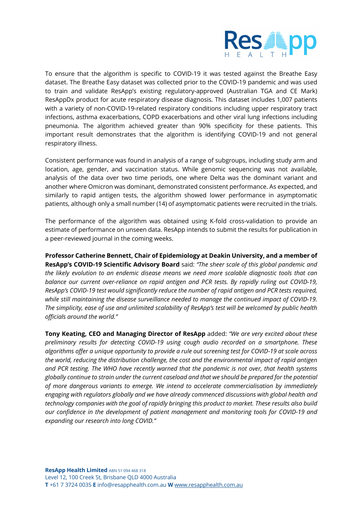

To ensure that the algorithm is specific to COVID-19 it was tested against the Breathe Easy dataset. The Breathe Easy dataset was collected prior to the COVID-19 pandemic and was used to train and validate ResApp's existing regulatory-approved (Australian TGA and CE Mark) ResAppDx product for acute respiratory disease diagnosis. This dataset includes 1,007 patients with a variety of non-COVID-19-related respiratory conditions including upper respiratory tract infections, asthma exacerbations, COPD exacerbations and other viral lung infections including pneumonia. The algorithm achieved greater than 90% specificity for these patients. This important result demonstrates that the algorithm is identifying COVID-19 and not general respiratory illness.

Consistent performance was found in analysis of a range of subgroups, including study arm and location, age, gender, and vaccination status. While genomic sequencing was not available, analysis of the data over two time periods, one where Delta was the dominant variant and another where Omicron was dominant, demonstrated consistent performance. As expected, and similarly to rapid antigen tests, the algorithm showed lower performance in asymptomatic patients, although only a small number (14) of asymptomatic patients were recruited in the trials.

The performance of the algorithm was obtained using K-fold cross-validation to provide an estimate of performance on unseen data. ResApp intends to submit the results for publication in a peer-reviewed journal in the coming weeks.

**Professor Catherine Bennett, Chair of Epidemiology at Deakin University, and a member of ResApp's COVID-19 Scientific Advisory Board** said: *"The sheer scale of this global pandemic and the likely evolution to an endemic disease means we need more scalable diagnostic tools that can balance our current over-reliance on rapid antigen and PCR tests. By rapidly ruling out COVID-19, ResApp's COVID-19 test would significantly reduce the number of rapid antigen and PCR tests required, while still maintaining the disease surveillance needed to manage the continued impact of COVID-19. The simplicity, ease of use and unlimited scalability of ResApp's test will be welcomed by public health officials around the world."*

**Tony Keating, CEO and Managing Director of ResApp** added: *"We are very excited about these preliminary results for detecting COVID-19 using cough audio recorded on a smartphone. These algorithms offer a unique opportunity to provide a rule out screening test for COVID-19 at scale across the world, reducing the distribution challenge, the cost and the environmental impact of rapid antigen and PCR testing. The WHO have recently warned that the pandemic is not over, that health systems globally continue to strain under the current caseload and that we should be prepared for the potential of more dangerous variants to emerge. We intend to accelerate commercialisation by immediately engaging with regulators globally and we have already commenced discussions with global health and technology companies with the goal of rapidly bringing this product to market. These results also build our confidence in the development of patient management and monitoring tools for COVID-19 and expanding our research into long COVID."*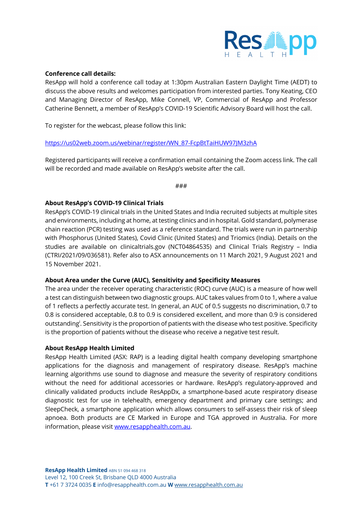

# **Conference call details:**

ResApp will hold a conference call today at 1:30pm Australian Eastern Daylight Time (AEDT) to discuss the above results and welcomes participation from interested parties. Tony Keating, CEO and Managing Director of ResApp, Mike Connell, VP, Commercial of ResApp and Professor Catherine Bennett, a member of ResApp's COVID-19 Scientific Advisory Board will host the call.

To register for the webcast, please follow this link:

## https://us02web.zoom.us/webinar/register/WN\_87-FcpBtTaiHUW97JM3zhA

Registered participants will receive a confirmation email containing the Zoom access link. The call will be recorded and made available on ResApp's website after the call.

###

# **About ResApp's COVID-19 Clinical Trials**

ResApp's COVID-19 clinical trials in the United States and India recruited subjects at multiple sites and environments, including at home, at testing clinics and in hospital. Gold standard, polymerase chain reaction (PCR) testing was used as a reference standard. The trials were run in partnership with Phosphorus (United States), Covid Clinic (United States) and Triomics (India). Details on the studies are available on clinicaltrials.gov (NCT04864535) and Clinical Trials Registry – India (CTRI/2021/09/036581). Refer also to ASX announcements on 11 March 2021, 9 August 2021 and 15 November 2021.

## **About Area under the Curve (AUC), Sensitivity and Specificity Measures**

The area under the receiver operating characteristic (ROC) curve (AUC) is a measure of how well a test can distinguish between two diagnostic groups. AUC takes values from 0 to 1, where a value of 1 reflects a perfectly accurate test. In general, an AUC of 0.5 suggests no discrimination, 0.7 to 0.8 is considered acceptable, 0.8 to 0.9 is considered excellent, and more than 0.9 is considered outstanding<sup>i</sup>. Sensitivity is the proportion of patients with the disease who test positive. Specificity is the proportion of patients without the disease who receive a negative test result.

## **About ResApp Health Limited**

ResApp Health Limited (ASX: RAP) is a leading digital health company developing smartphone applications for the diagnosis and management of respiratory disease. ResApp's machine learning algorithms use sound to diagnose and measure the severity of respiratory conditions without the need for additional accessories or hardware. ResApp's regulatory-approved and clinically validated products include ResAppDx, a smartphone-based acute respiratory disease diagnostic test for use in telehealth, emergency department and primary care settings; and SleepCheck, a smartphone application which allows consumers to self-assess their risk of sleep apnoea. Both products are CE Marked in Europe and TGA approved in Australia. For more information, please visit www.resapphealth.com.au.